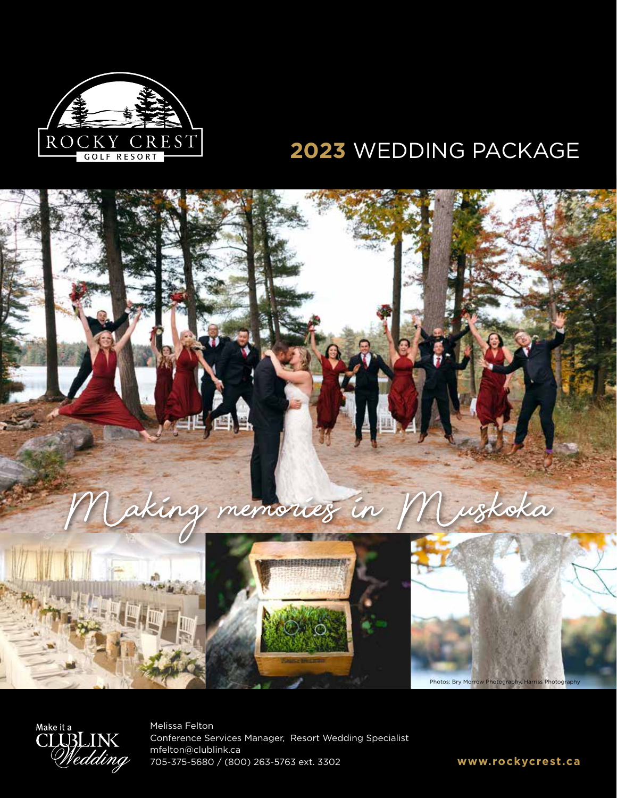

# **2023** WEDDING PACKAGE





Melissa Felton Conference Services Manager, Resort Wedding Specialist mfelton@clublink.ca 705-375-5680 / (800) 263-5763 ext. 3302 **www.rockycrest.ca**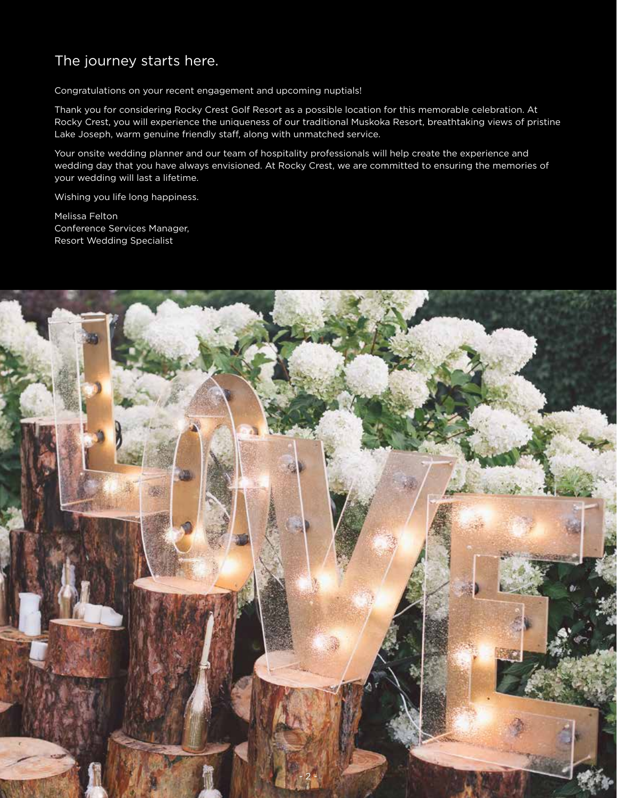## The journey starts here.

Congratulations on your recent engagement and upcoming nuptials!

Thank you for considering Rocky Crest Golf Resort as a possible location for this memorable celebration. At Rocky Crest, you will experience the uniqueness of our traditional Muskoka Resort, breathtaking views of pristine Lake Joseph, warm genuine friendly staff, along with unmatched service.

Your onsite wedding planner and our team of hospitality professionals will help create the experience and wedding day that you have always envisioned. At Rocky Crest, we are committed to ensuring the memories of your wedding will last a lifetime.

Wishing you life long happiness.

Melissa Felton Conference Services Manager, Resort Wedding Specialist

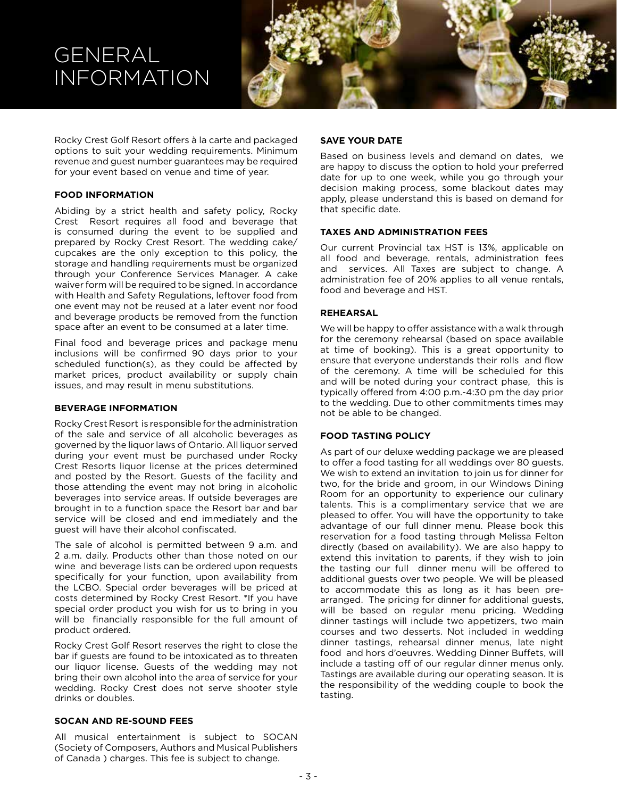## GENERAL INFORMATION



Rocky Crest Golf Resort offers à la carte and packaged options to suit your wedding requirements. Minimum revenue and guest number guarantees may be required for your event based on venue and time of year.

#### **FOOD INFORMATION**

Abiding by a strict health and safety policy, Rocky Crest Resort requires all food and beverage that is consumed during the event to be supplied and prepared by Rocky Crest Resort. The wedding cake/ cupcakes are the only exception to this policy, the storage and handling requirements must be organized through your Conference Services Manager. A cake waiver form will be required to be signed. In accordance with Health and Safety Regulations, leftover food from one event may not be reused at a later event nor food and beverage products be removed from the function space after an event to be consumed at a later time.

Final food and beverage prices and package menu inclusions will be confirmed 90 days prior to your scheduled function(s), as they could be affected by market prices, product availability or supply chain issues, and may result in menu substitutions.

#### **BEVERAGE INFORMATION**

Rocky Crest Resort is responsible for the administration of the sale and service of all alcoholic beverages as governed by the liquor laws of Ontario. All liquor served during your event must be purchased under Rocky Crest Resorts liquor license at the prices determined and posted by the Resort. Guests of the facility and those attending the event may not bring in alcoholic beverages into service areas. If outside beverages are brought in to a function space the Resort bar and bar service will be closed and end immediately and the guest will have their alcohol confiscated.

The sale of alcohol is permitted between 9 a.m. and 2 a.m. daily. Products other than those noted on our wine and beverage lists can be ordered upon requests specifically for your function, upon availability from the LCBO. Special order beverages will be priced at costs determined by Rocky Crest Resort. \*If you have special order product you wish for us to bring in you will be financially responsible for the full amount of product ordered.

Rocky Crest Golf Resort reserves the right to close the bar if guests are found to be intoxicated as to threaten our liquor license. Guests of the wedding may not bring their own alcohol into the area of service for your wedding. Rocky Crest does not serve shooter style drinks or doubles.

#### **SOCAN AND RE-SOUND FEES**

All musical entertainment is subject to SOCAN (Society of Composers, Authors and Musical Publishers of Canada ) charges. This fee is subject to change.

#### **SAVE YOUR DATE**

Based on business levels and demand on dates, we are happy to discuss the option to hold your preferred date for up to one week, while you go through your decision making process, some blackout dates may apply, please understand this is based on demand for that specific date.

#### **TAXES AND ADMINISTRATION FEES**

Our current Provincial tax HST is 13%, applicable on all food and beverage, rentals, administration fees and services. All Taxes are subject to change. A administration fee of 20% applies to all venue rentals, food and beverage and HST.

#### **REHEARSAL**

We will be happy to offer assistance with a walk through for the ceremony rehearsal (based on space available at time of booking). This is a great opportunity to ensure that everyone understands their rolls and flow of the ceremony. A time will be scheduled for this and will be noted during your contract phase, this is typically offered from 4:00 p.m.-4:30 pm the day prior to the wedding. Due to other commitments times may not be able to be changed.

#### **FOOD TASTING POLICY**

As part of our deluxe wedding package we are pleased to offer a food tasting for all weddings over 80 guests. We wish to extend an invitation to join us for dinner for two, for the bride and groom, in our Windows Dining Room for an opportunity to experience our culinary talents. This is a complimentary service that we are pleased to offer. You will have the opportunity to take advantage of our full dinner menu. Please book this reservation for a food tasting through Melissa Felton directly (based on availability). We are also happy to extend this invitation to parents, if they wish to join the tasting our full dinner menu will be offered to additional guests over two people. We will be pleased to accommodate this as long as it has been prearranged. The pricing for dinner for additional guests, will be based on regular menu pricing. Wedding dinner tastings will include two appetizers, two main courses and two desserts. Not included in wedding dinner tastings, rehearsal dinner menus, late night food and hors d'oeuvres. Wedding Dinner Buffets, will include a tasting off of our regular dinner menus only. Tastings are available during our operating season. It is the responsibility of the wedding couple to book the tasting.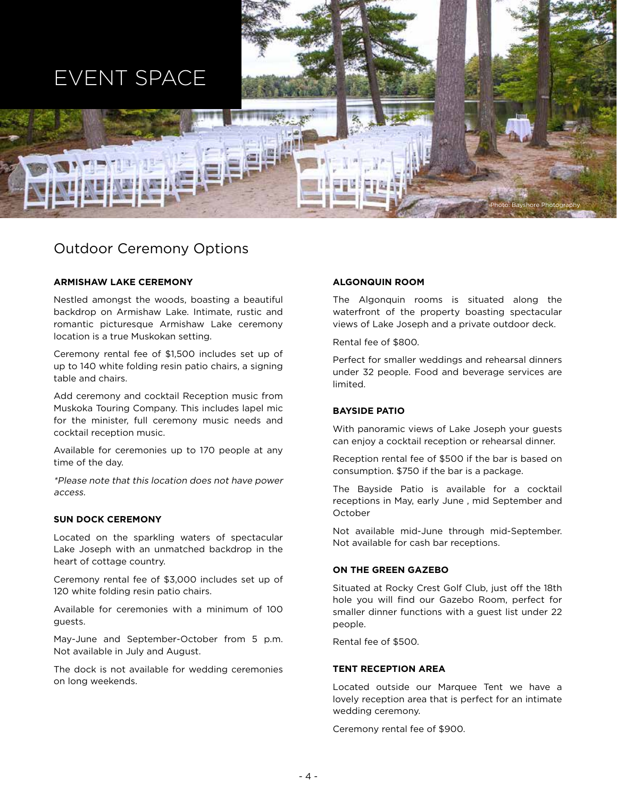

### Outdoor Ceremony Options

#### **ARMISHAW LAKE CEREMONY**

Nestled amongst the woods, boasting a beautiful backdrop on Armishaw Lake. Intimate, rustic and romantic picturesque Armishaw Lake ceremony location is a true Muskokan setting.

Ceremony rental fee of \$1,500 includes set up of up to 140 white folding resin patio chairs, a signing table and chairs.

Add ceremony and cocktail Reception music from Muskoka Touring Company. This includes lapel mic for the minister, full ceremony music needs and cocktail reception music.

Available for ceremonies up to 170 people at any time of the day.

\*Please note that this location does not have power access.

#### **SUN DOCK CEREMONY**

Located on the sparkling waters of spectacular Lake Joseph with an unmatched backdrop in the heart of cottage country.

Ceremony rental fee of \$3,000 includes set up of 120 white folding resin patio chairs.

Available for ceremonies with a minimum of 100 guests.

May-June and September-October from 5 p.m. Not available in July and August.

The dock is not available for wedding ceremonies on long weekends.

#### **ALGONQUIN ROOM**

The Algonquin rooms is situated along the waterfront of the property boasting spectacular views of Lake Joseph and a private outdoor deck.

Rental fee of \$800.

Perfect for smaller weddings and rehearsal dinners under 32 people. Food and beverage services are limited.

#### **BAYSIDE PATIO**

With panoramic views of Lake Joseph your guests can enjoy a cocktail reception or rehearsal dinner.

Reception rental fee of \$500 if the bar is based on consumption. \$750 if the bar is a package.

The Bayside Patio is available for a cocktail receptions in May, early June , mid September and October

Not available mid-June through mid-September. Not available for cash bar receptions.

#### **ON THE GREEN GAZEBO**

Situated at Rocky Crest Golf Club, just off the 18th hole you will find our Gazebo Room, perfect for smaller dinner functions with a guest list under 22 people.

Rental fee of \$500.

#### **TENT RECEPTION AREA**

Located outside our Marquee Tent we have a lovely reception area that is perfect for an intimate wedding ceremony.

Ceremony rental fee of \$900.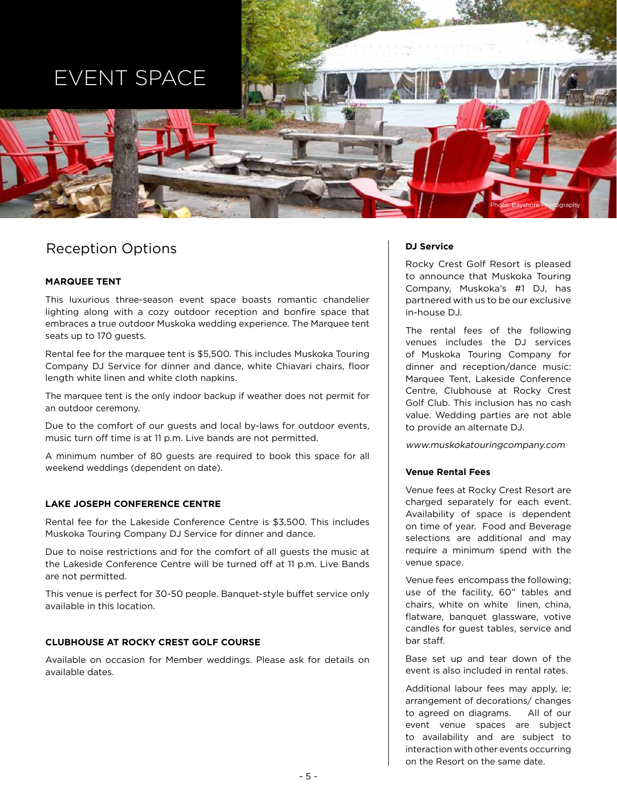# EVENT SPACE



## Reception Options

#### **MARQUEE TENT**

This luxurious three-season event space boasts romantic chandelier lighting along with a cozy outdoor reception and bonfire space that embraces a true outdoor Muskoka wedding experience. The Marquee tent seats up to 170 guests.

Rental fee for the marquee tent is \$5,500. This includes Muskoka Touring Company DJ Service for dinner and dance, white Chiavari chairs, floor length white linen and white cloth napkins.

The marquee tent is the only indoor backup if weather does not permit for an outdoor ceremony.

Due to the comfort of our guests and local by-laws for outdoor events, music turn off time is at 11 p.m. Live bands are not permitted.

A minimum number of 80 guests are required to book this space for all weekend weddings (dependent on date).

#### **LAKE JOSEPH CONFERENCE CENTRE**

Rental fee for the Lakeside Conference Centre is \$3,500. This includes Muskoka Touring Company DJ Service for dinner and dance.

Due to noise restrictions and for the comfort of all guests the music at the Lakeside Conference Centre will be turned off at 11 p.m. Live Bands are not permitted.

This venue is perfect for 30-50 people. Banquet-style buffet service only available in this location.

#### **CLUBHOUSE AT ROCKY CREST GOLF COURSE**

Available on occasion for Member weddings. Please ask for details on available dates.

#### **DJ Service**

Rocky Crest Golf Resort is pleased to announce that Muskoka Touring Company, Muskoka's #1 DJ, has partnered with us to be our exclusive in-house DJ.

The rental fees of the following venues includes the DJ services of Muskoka Touring Company for dinner and reception/dance music: Marquee Tent, Lakeside Conference Centre, Clubhouse at Rocky Crest Golf Club. This inclusion has no cash value. Wedding parties are not able to provide an alternate DJ.

www.muskokatouringcompany.com

#### **Venue Rental Fees**

Venue fees at Rocky Crest Resort are charged separately for each event. Availability of space is dependent on time of year. Food and Beverage selections are additional and may require a minimum spend with the venue space.

Venue fees encompass the following; use of the facility, 60" tables and chairs, white on white linen, china, flatware, banquet glassware, votive candles for guest tables, service and bar staff.

Base set up and tear down of the event is also included in rental rates.

Additional labour fees may apply, ie; arrangement of decorations/ changes to agreed on diagrams. All of our event venue spaces are subject to availability and are subject to interaction with other events occurring on the Resort on the same date.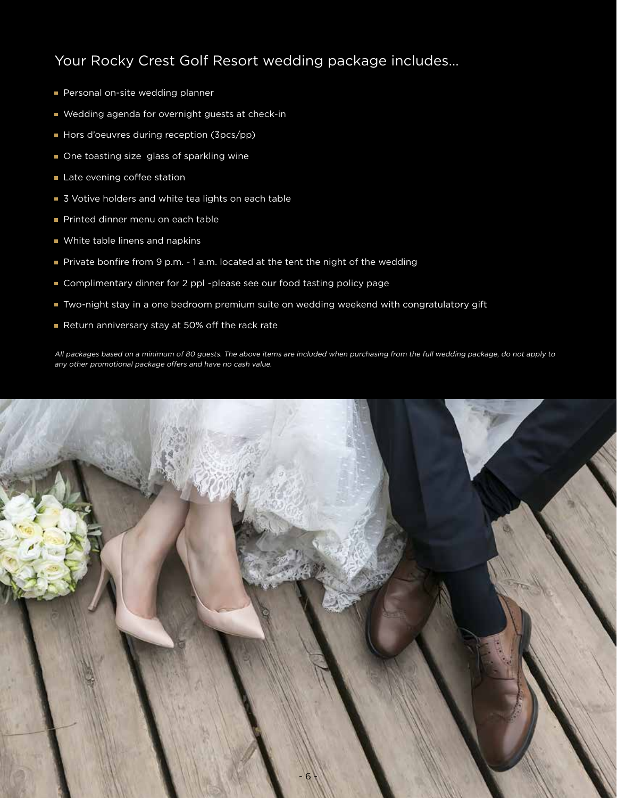## Your Rocky Crest Golf Resort wedding package includes…

- Personal on-site wedding planner
- Wedding agenda for overnight guests at check-in
- Hors d'oeuvres during reception (3pcs/pp)
- One toasting size glass of sparkling wine
- Late evening coffee station
- 3 Votive holders and white tea lights on each table
- Printed dinner menu on each table
- **White table linens and napkins**
- Private bonfire from 9 p.m. 1 a.m. located at the tent the night of the wedding
- Complimentary dinner for 2 ppl ~please see our food tasting policy page
- Two-night stay in a one bedroom premium suite on wedding weekend with congratulatory gift
- Return anniversary stay at 50% off the rack rate

All packages based on a minimum of 80 guests. The above items are included when purchasing from the full wedding package, do not apply to any other promotional package offers and have no cash value.

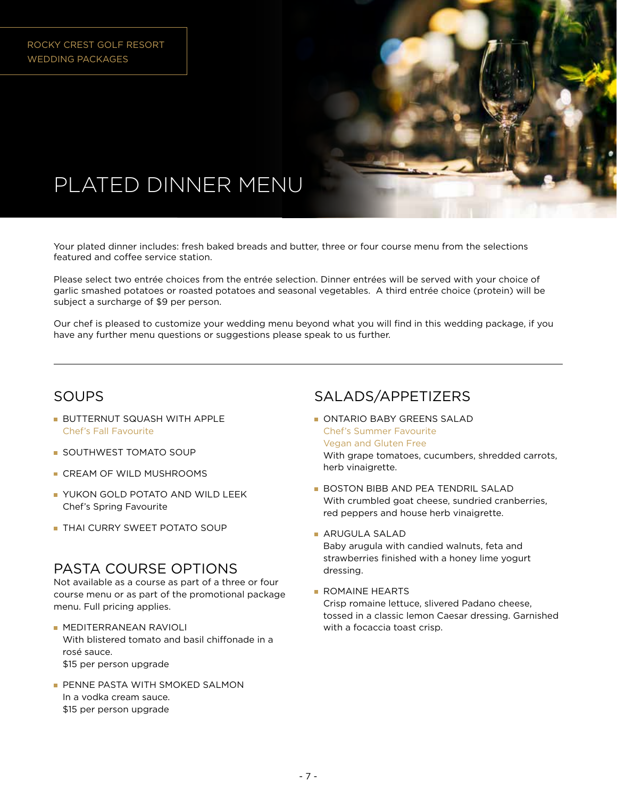

Your plated dinner includes: fresh baked breads and butter, three or four course menu from the selections featured and coffee service station.

Please select two entrée choices from the entrée selection. Dinner entrées will be served with your choice of garlic smashed potatoes or roasted potatoes and seasonal vegetables. A third entrée choice (protein) will be subject a surcharge of \$9 per person.

Our chef is pleased to customize your wedding menu beyond what you will find in this wedding package, if you have any further menu questions or suggestions please speak to us further.

### SOUPS

- **BUTTERNUT SQUASH WITH APPLE** Chef's Fall Favourite
- **SOUTHWEST TOMATO SOUP**
- CREAM OF WILD MUSHROOMS
- **YUKON GOLD POTATO AND WILD LEEK** Chef's Spring Favourite
- **THAI CURRY SWEET POTATO SOUP**

### PASTA COURSE OPTIONS

Not available as a course as part of a three or four course menu or as part of the promotional package menu. Full pricing applies.

- **MEDITERRANEAN RAVIOLI** With blistered tomato and basil chiffonade in a rosé sauce. \$15 per person upgrade
- **PENNE PASTA WITH SMOKED SALMON** In a vodka cream sauce. \$15 per person upgrade

### SALADS/APPETIZERS

- ONTARIO BABY GREENS SALAD Chef's Summer Favourite Vegan and Gluten Free With grape tomatoes, cucumbers, shredded carrots, herb vinaigrette.
- **BOSTON BIBB AND PEA TENDRIL SALAD** With crumbled goat cheese, sundried cranberries, red peppers and house herb vinaigrette.
- ARUGULA SALAD Baby arugula with candied walnuts, feta and strawberries finished with a honey lime yogurt dressing.
- ROMAINE HEARTS Crisp romaine lettuce, slivered Padano cheese, tossed in a classic lemon Caesar dressing. Garnished with a focaccia toast crisp.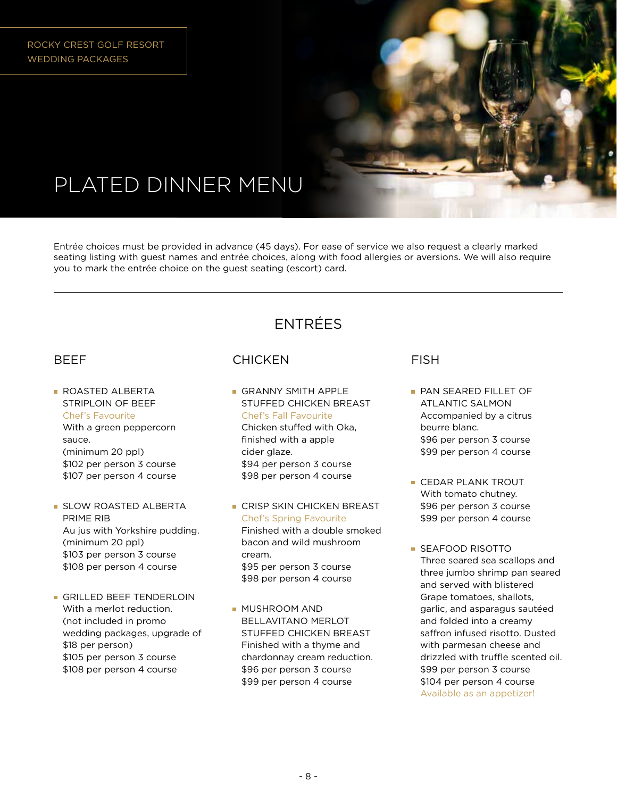

Entrée choices must be provided in advance (45 days). For ease of service we also request a clearly marked seating listing with guest names and entrée choices, along with food allergies or aversions. We will also require you to mark the entrée choice on the guest seating (escort) card.

## ENTRÉES

### BEEF

- **ROASTED ALBERTA** STRIPLOIN OF BEEF Chef's Favourite With a green peppercorn sauce. (minimum 20 ppl) \$102 per person 3 course \$107 per person 4 course
- **SLOW ROASTED ALBERTA** PRIME RIB Au jus with Yorkshire pudding. (minimum 20 ppl) \$103 per person 3 course \$108 per person 4 course
- GRILLED BEEF TENDERLOIN With a merlot reduction. (not included in promo wedding packages, upgrade of \$18 per person) \$105 per person 3 course \$108 per person 4 course

### **CHICKEN**

- **GRANNY SMITH APPLE** STUFFED CHICKEN BREAST Chef's Fall Favourite Chicken stuffed with Oka, finished with a apple cider glaze. \$94 per person 3 course \$98 per person 4 course
- **CRISP SKIN CHICKEN BREAST** Chef's Spring Favourite Finished with a double smoked bacon and wild mushroom cream. \$95 per person 3 course \$98 per person 4 course
- **MUSHROOM AND** BELLAVITANO MERLOT STUFFED CHICKEN BREAST Finished with a thyme and chardonnay cream reduction. \$96 per person 3 course \$99 per person 4 course

### FISH

- **PAN SEARED FILLET OF** ATLANTIC SALMON Accompanied by a citrus beurre blanc. \$96 per person 3 course \$99 per person 4 course
- **CEDAR PLANK TROUT** With tomato chutney. \$96 per person 3 course \$99 per person 4 course
- **SEAFOOD RISOTTO** Three seared sea scallops and three jumbo shrimp pan seared and served with blistered Grape tomatoes, shallots, garlic, and asparagus sautéed and folded into a creamy saffron infused risotto. Dusted with parmesan cheese and drizzled with truffle scented oil. \$99 per person 3 course \$104 per person 4 course Available as an appetizer!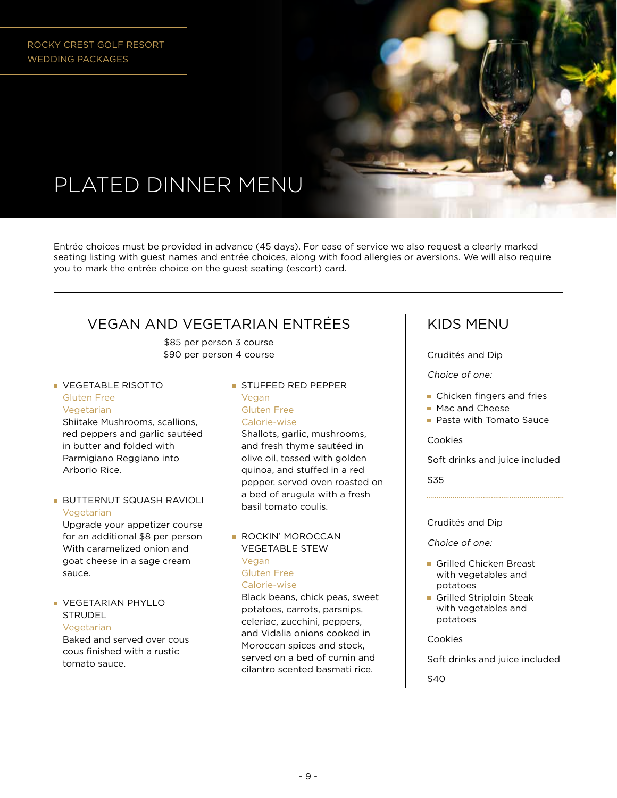

Entrée choices must be provided in advance (45 days). For ease of service we also request a clearly marked seating listing with guest names and entrée choices, along with food allergies or aversions. We will also require you to mark the entrée choice on the guest seating (escort) card.

## VEGAN AND VEGETARIAN ENTRÉES

\$85 per person 3 course \$90 per person 4 course

**• VEGETABLE RISOTTO** Gluten Free Vegetarian

Shiitake Mushrooms, scallions, red peppers and garlic sautéed in butter and folded with Parmigiano Reggiano into Arborio Rice.

**BUTTERNUT SQUASH RAVIOLI** Vegetarian

Upgrade your appetizer course for an additional \$8 per person With caramelized onion and goat cheese in a sage cream sauce.

#### **VEGETARIAN PHYLLO STRUDEL**

Vegetarian Baked and served over cous cous finished with a rustic tomato sauce.

**STUFFED RED PEPPER** Vegan Gluten Free Calorie-wise

Shallots, garlic, mushrooms, and fresh thyme sautéed in olive oil, tossed with golden quinoa, and stuffed in a red pepper, served oven roasted on a bed of arugula with a fresh basil tomato coulis.

**ROCKIN' MOROCCAN** VEGETABLE STEW Vegan Gluten Free Calorie-wise

Black beans, chick peas, sweet potatoes, carrots, parsnips, celeriac, zucchini, peppers, and Vidalia onions cooked in Moroccan spices and stock, served on a bed of cumin and cilantro scented basmati rice.

## KIDS MENU

#### Crudités and Dip

#### Choice of one:

- **Chicken fingers and fries**
- **Mac and Cheese**
- **Pasta with Tomato Sauce**

#### Cookies

Soft drinks and juice included

\$35

#### Crudités and Dip

Choice of one:

- Grilled Chicken Breast with vegetables and potatoes
- Grilled Striploin Steak with vegetables and potatoes

#### Cookies

Soft drinks and juice included

\$40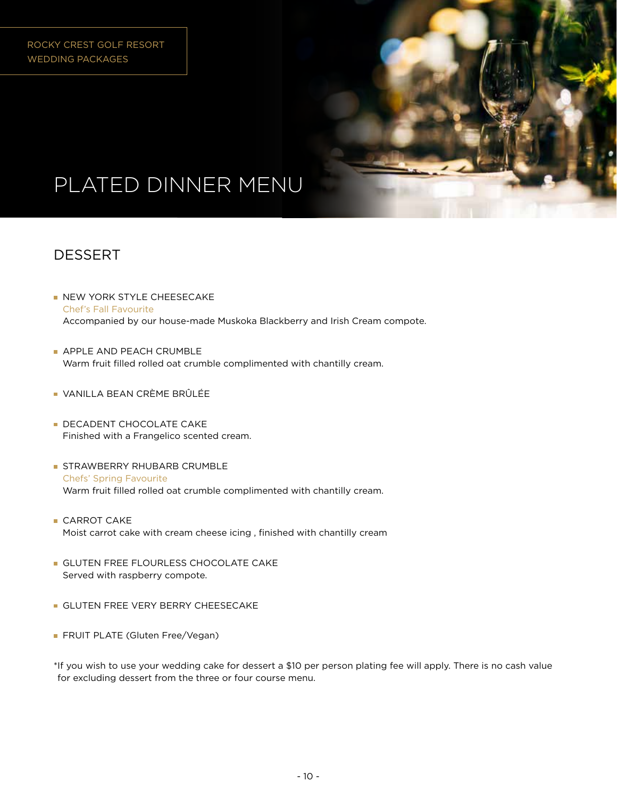

## DESSERT

- **NEW YORK STYLE CHEESECAKE** Chef's Fall Favourite Accompanied by our house-made Muskoka Blackberry and Irish Cream compote.
- **APPLE AND PEACH CRUMBLE** Warm fruit filled rolled oat crumble complimented with chantilly cream.
- VANILLA BEAN CRÈME BRÛLÉE
- **DECADENT CHOCOLATE CAKE** Finished with a Frangelico scented cream.
- **STRAWBERRY RHUBARB CRUMBLE** Chefs' Spring Favourite Warm fruit filled rolled oat crumble complimented with chantilly cream.
- **CARROT CAKE** Moist carrot cake with cream cheese icing , finished with chantilly cream
- **GLUTEN FREE FLOURLESS CHOCOLATE CAKE** Served with raspberry compote.
- **GLUTEN FREE VERY BERRY CHEESECAKE**
- **FRUIT PLATE (Gluten Free/Vegan)**

\*If you wish to use your wedding cake for dessert a \$10 per person plating fee will apply. There is no cash value for excluding dessert from the three or four course menu.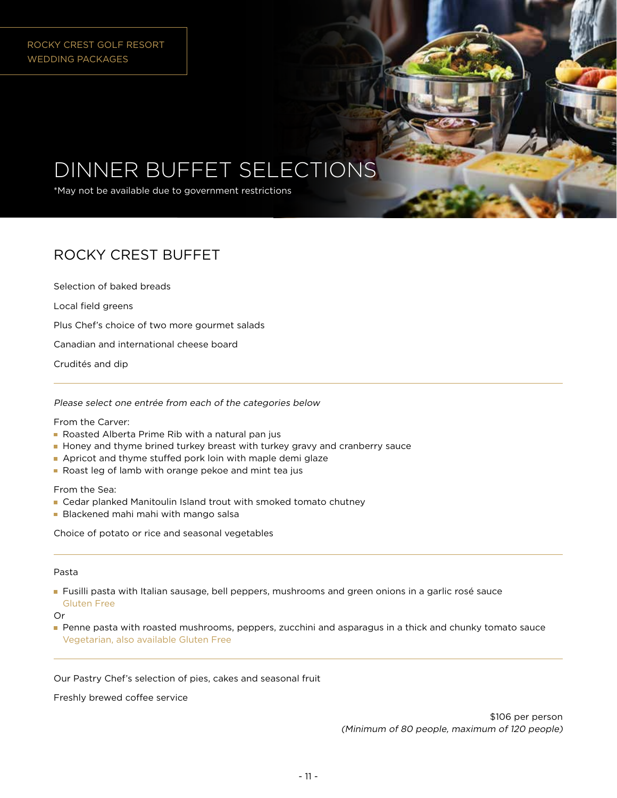# DINNER BUFFET SELECTIONS

\*May not be available due to government restrictions

## ROCKY CREST BUFFET

Selection of baked breads

Local field greens

Plus Chef's choice of two more gourmet salads

Canadian and international cheese board

Crudités and dip

Please select one entrée from each of the categories below

From the Carver:

- Roasted Alberta Prime Rib with a natural pan jus
- **Honey and thyme brined turkey breast with turkey gravy and cranberry sauce**
- Apricot and thyme stuffed pork loin with maple demi glaze
- Roast leg of lamb with orange pekoe and mint tea jus

From the Sea:

- Cedar planked Manitoulin Island trout with smoked tomato chutney
- **Blackened mahi mahi with mango salsa**

Choice of potato or rice and seasonal vegetables

#### Pasta

**Fusilli pasta with Italian sausage, bell peppers, mushrooms and green onions in a garlic rosé sauce** Gluten Free

Or

**Penne pasta with roasted mushrooms, peppers, zucchini and asparagus in a thick and chunky tomato sauce** Vegetarian, also available Gluten Free

Our Pastry Chef's selection of pies, cakes and seasonal fruit

Freshly brewed coffee service

\$106 per person (Minimum of 80 people, maximum of 120 people)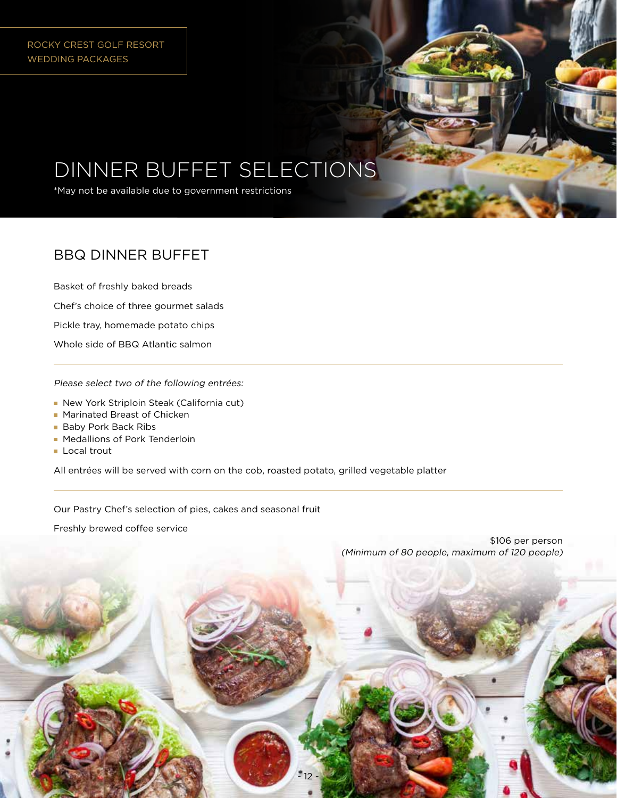ROCKY CREST GOLF RESORT WEDDING PACKAGES

# DINNER BUFFET SELECTIONS

\*May not be available due to government restrictions

## BBQ DINNER BUFFET

Basket of freshly baked breads

Chef's choice of three gourmet salads

Pickle tray, homemade potato chips

Whole side of BBQ Atlantic salmon

Please select two of the following entrées:

- New York Striploin Steak (California cut)
- **Marinated Breast of Chicken**
- **Baby Pork Back Ribs**
- **Medallions of Pork Tenderloin**
- **Local trout**

All entrées will be served with corn on the cob, roasted potato, grilled vegetable platter

Our Pastry Chef's selection of pies, cakes and seasonal fruit

Freshly brewed coffee service

\$106 per person (Minimum of 80 people, maximum of 120 people)

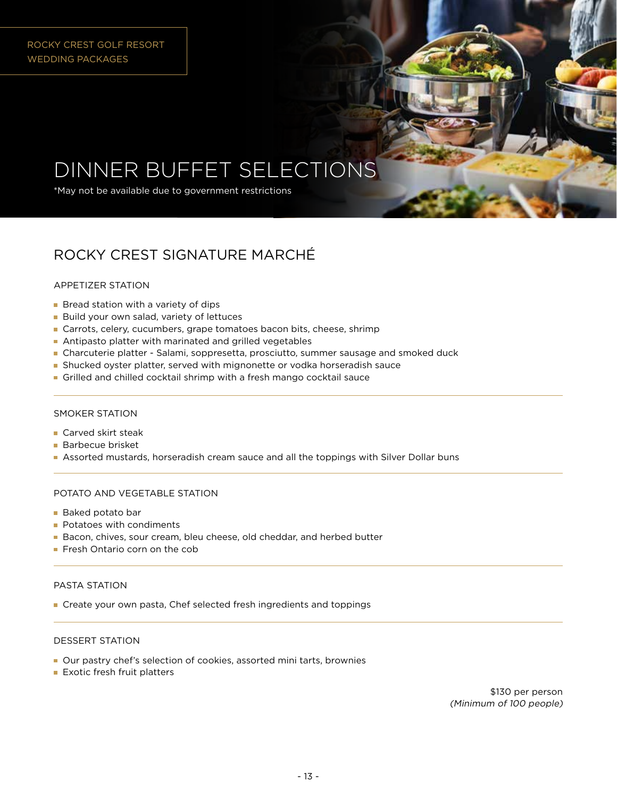# DINNER BUFFET SELECTIONS

\*May not be available due to government restrictions

## ROCKY CREST SIGNATURE MARCHÉ

#### APPETIZER STATION

- **Bread station with a variety of dips**
- **Build your own salad, variety of lettuces**
- **Carrots, celery, cucumbers, grape tomatoes bacon bits, cheese, shrimp**
- Antipasto platter with marinated and grilled vegetables
- Charcuterie platter Salami, soppresetta, prosciutto, summer sausage and smoked duck
- Shucked oyster platter, served with mignonette or vodka horseradish sauce
- Grilled and chilled cocktail shrimp with a fresh mango cocktail sauce

#### SMOKER STATION

- **Carved skirt steak**
- **Barbecue brisket**
- Assorted mustards, horseradish cream sauce and all the toppings with Silver Dollar buns

#### POTATO AND VEGETABLE STATION

- **Baked potato bar**
- **Potatoes with condiments**
- Bacon, chives, sour cream, bleu cheese, old cheddar, and herbed butter
- **Fresh Ontario corn on the cob**

#### PASTA STATION

Create your own pasta, Chef selected fresh ingredients and toppings

#### DESSERT STATION

- Our pastry chef's selection of cookies, assorted mini tarts, brownies
- **Exotic fresh fruit platters**

\$130 per person (Minimum of 100 people)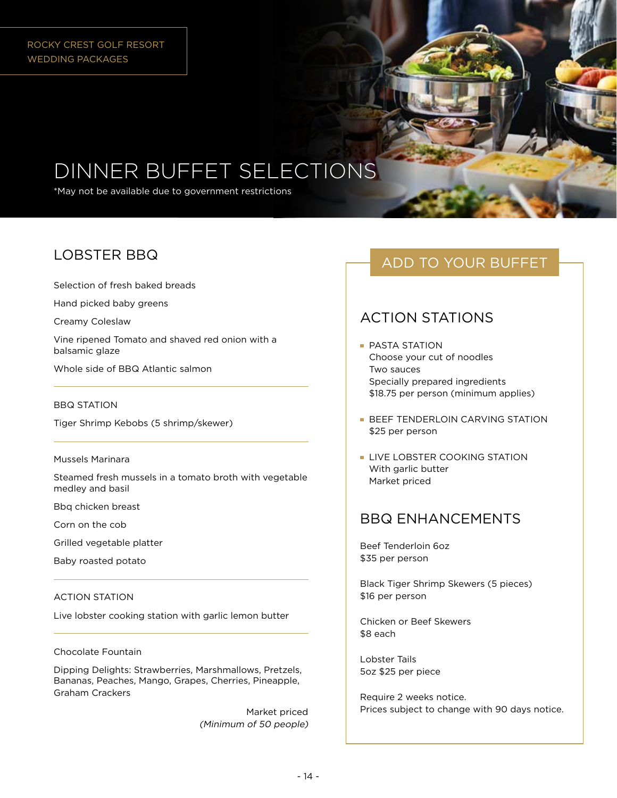# DINNER BUFFET SELECTIONS

\*May not be available due to government restrictions

## LOBSTER BBQ

Selection of fresh baked breads

Hand picked baby greens

Creamy Coleslaw

Vine ripened Tomato and shaved red onion with a balsamic glaze

Whole side of BBQ Atlantic salmon

#### BBQ STATION

Tiger Shrimp Kebobs (5 shrimp/skewer)

#### Mussels Marinara

Steamed fresh mussels in a tomato broth with vegetable medley and basil

Bbq chicken breast

Corn on the cob

Grilled vegetable platter

Baby roasted potato

#### ACTION STATION

Live lobster cooking station with garlic lemon butter

Chocolate Fountain

Dipping Delights: Strawberries, Marshmallows, Pretzels, Bananas, Peaches, Mango, Grapes, Cherries, Pineapple, Graham Crackers

> Market priced (Minimum of 50 people)

## ADD TO YOUR BUFFET

## ACTION STATIONS

- **PASTA STATION** Choose your cut of noodles Two sauces Specially prepared ingredients \$18.75 per person (minimum applies)
- **BEEF TENDERLOIN CARVING STATION** \$25 per person
- **LIVE LOBSTER COOKING STATION** With garlic butter Market priced

## BBQ ENHANCEMENTS

Beef Tenderloin 6oz \$35 per person

Black Tiger Shrimp Skewers (5 pieces) \$16 per person

Chicken or Beef Skewers \$8 each

Lobster Tails 5oz \$25 per piece

Require 2 weeks notice. Prices subject to change with 90 days notice.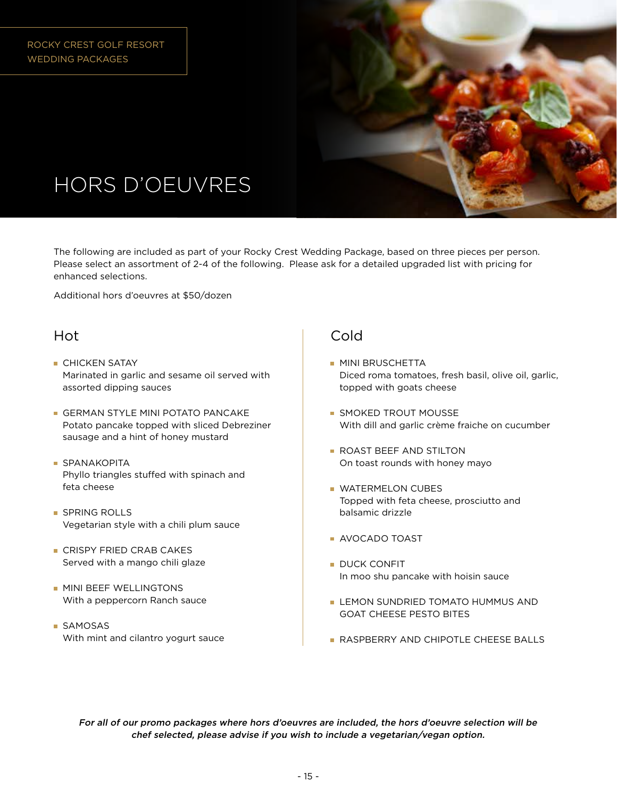

# HORS D'OEUVRES

The following are included as part of your Rocky Crest Wedding Package, based on three pieces per person. Please select an assortment of 2-4 of the following. Please ask for a detailed upgraded list with pricing for enhanced selections.

Additional hors d'oeuvres at \$50/dozen

### **Hot**

- **CHICKEN SATAY** Marinated in garlic and sesame oil served with assorted dipping sauces
- **GERMAN STYLE MINI POTATO PANCAKE** Potato pancake topped with sliced Debreziner sausage and a hint of honey mustard
- **SPANAKOPITA** Phyllo triangles stuffed with spinach and feta cheese
- **SPRING ROLLS** Vegetarian style with a chili plum sauce
- **CRISPY FRIED CRAB CAKES** Served with a mango chili glaze
- **MINI BEEF WELLINGTONS** With a peppercorn Ranch sauce
- **SAMOSAS** With mint and cilantro yogurt sauce

### Cold

- **MINI BRUSCHETTA** Diced roma tomatoes, fresh basil, olive oil, garlic, topped with goats cheese
- **SMOKED TROUT MOUSSE** With dill and garlic crème fraiche on cucumber
- **ROAST BEEF AND STILTON** On toast rounds with honey mayo
- **WATERMELON CUBES** Topped with feta cheese, prosciutto and balsamic drizzle
- AVOCADO TOAST
- DUCK CONFIT In moo shu pancake with hoisin sauce
- LEMON SUNDRIED TOMATO HUMMUS AND GOAT CHEESE PESTO BITES
- **RASPBERRY AND CHIPOTLE CHEESE BALLS**

For all of our promo packages where hors d'oeuvres are included, the hors d'oeuvre selection will be chef selected, please advise if you wish to include a vegetarian/vegan option.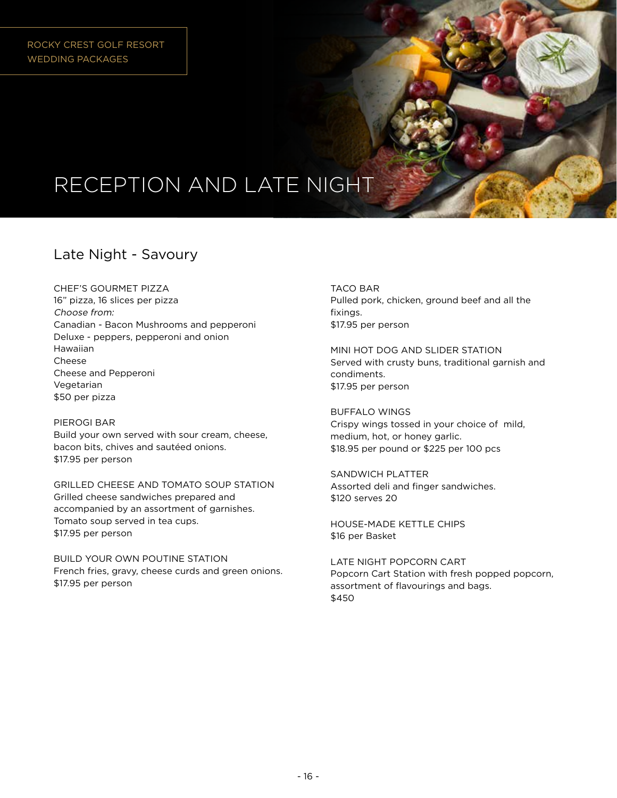# RECEPTION AND LATE NIGHT

## Late Night - Savoury

CHEF'S GOURMET PIZZA

16" pizza, 16 slices per pizza Choose from: Canadian - Bacon Mushrooms and pepperoni Deluxe - peppers, pepperoni and onion Hawaiian Cheese Cheese and Pepperoni Vegetarian \$50 per pizza

PIEROGI BAR Build your own served with sour cream, cheese, bacon bits, chives and sautéed onions. \$17.95 per person

GRILLED CHEESE AND TOMATO SOUP STATION Grilled cheese sandwiches prepared and accompanied by an assortment of garnishes. Tomato soup served in tea cups. \$17.95 per person

BUILD YOUR OWN POUTINE STATION French fries, gravy, cheese curds and green onions. \$17.95 per person

TACO BAR Pulled pork, chicken, ground beef and all the fixings. \$17.95 per person

MINI HOT DOG AND SLIDER STATION Served with crusty buns, traditional garnish and condiments. \$17.95 per person

BUFFALO WINGS Crispy wings tossed in your choice of mild, medium, hot, or honey garlic. \$18.95 per pound or \$225 per 100 pcs

SANDWICH PLATTER Assorted deli and finger sandwiches. \$120 serves 20

HOUSE-MADE KETTLE CHIPS \$16 per Basket

LATE NIGHT POPCORN CART Popcorn Cart Station with fresh popped popcorn, assortment of flavourings and bags. \$450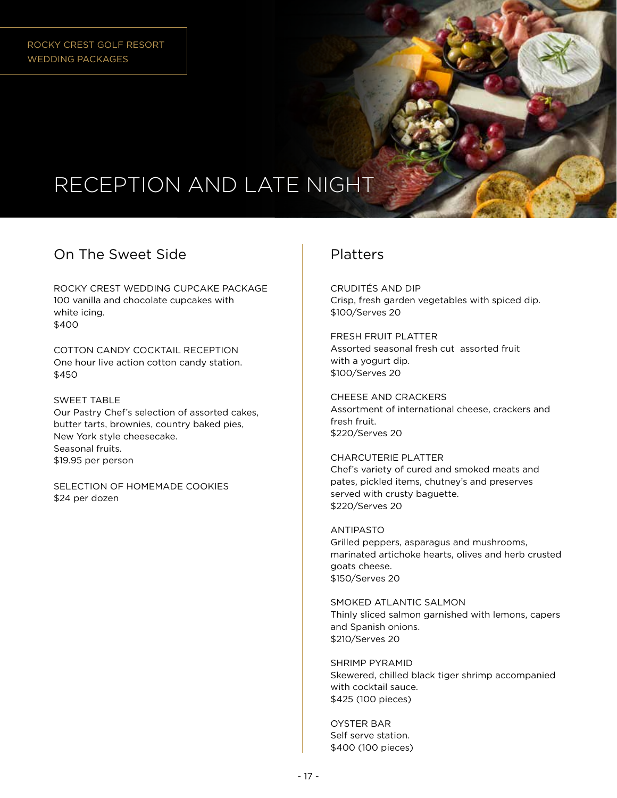# RECEPTION AND LATE NIGHT

## On The Sweet Side

ROCKY CREST WEDDING CUPCAKE PACKAGE 100 vanilla and chocolate cupcakes with white icing. \$400

COTTON CANDY COCKTAIL RECEPTION One hour live action cotton candy station. \$450

SWEET TABLE Our Pastry Chef's selection of assorted cakes, butter tarts, brownies, country baked pies, New York style cheesecake. Seasonal fruits. \$19.95 per person

SELECTION OF HOMEMADE COOKIES \$24 per dozen

### Platters

CRUDITÉS AND DIP Crisp, fresh garden vegetables with spiced dip. \$100/Serves 20

FRESH FRUIT PLATTER Assorted seasonal fresh cut assorted fruit with a yogurt dip. \$100/Serves 20

CHEESE AND CRACKERS Assortment of international cheese, crackers and fresh fruit. \$220/Serves 20

CHARCUTERIE PLATTER Chef's variety of cured and smoked meats and pates, pickled items, chutney's and preserves served with crusty baguette. \$220/Serves 20

ANTIPASTO Grilled peppers, asparagus and mushrooms, marinated artichoke hearts, olives and herb crusted goats cheese. \$150/Serves 20

SMOKED ATLANTIC SALMON Thinly sliced salmon garnished with lemons, capers and Spanish onions. \$210/Serves 20

SHRIMP PYRAMID Skewered, chilled black tiger shrimp accompanied with cocktail sauce. \$425 (100 pieces)

OYSTER BAR Self serve station. \$400 (100 pieces)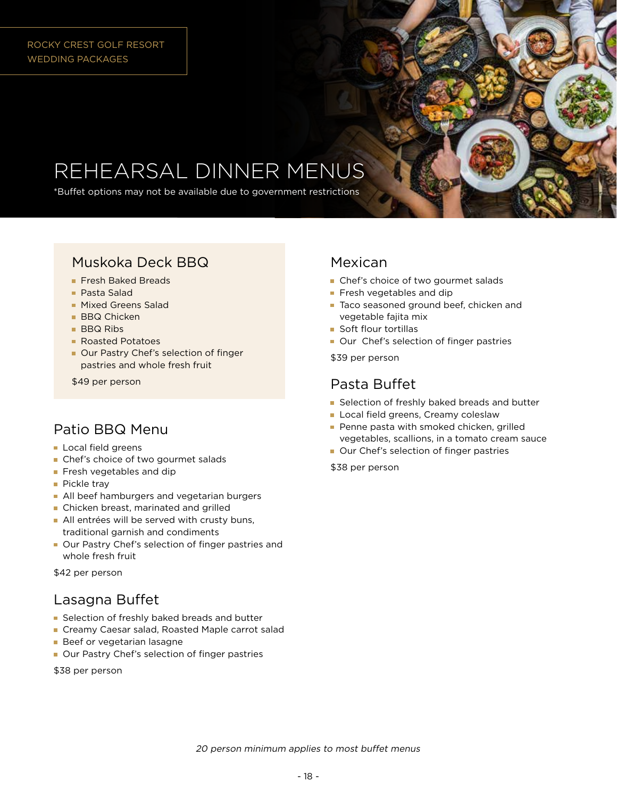#### ROCKY CREST GOLF RESORT WEDDING PACKAGES

# REHEARSAL DINNER MENUS

\*Buffet options may not be available due to government restrictions

## Muskoka Deck BBQ

- **Fresh Baked Breads**
- Pasta Salad
- **Mixed Greens Salad**
- **BBQ Chicken**
- **BBQ Ribs**
- Roasted Potatoes
- Our Pastry Chef's selection of finger pastries and whole fresh fruit

\$49 per person

### Patio BBQ Menu

- Local field greens
- Chef's choice of two gourmet salads
- **Fresh vegetables and dip**
- Pickle tray
- **All beef hamburgers and vegetarian burgers**
- **Chicken breast, marinated and grilled**
- All entrées will be served with crusty buns, traditional garnish and condiments
- Our Pastry Chef's selection of finger pastries and whole fresh fruit

\$42 per person

### Lasagna Buffet

- Selection of freshly baked breads and butter
- Creamy Caesar salad, Roasted Maple carrot salad
- **Beef or vegetarian lasagne**
- Our Pastry Chef's selection of finger pastries

\$38 per person

### Mexican

- Chef's choice of two gourmet salads
- Fresh vegetables and dip
- Taco seasoned ground beef, chicken and vegetable fajita mix
- **Soft flour tortillas**
- Our Chef's selection of finger pastries

\$39 per person

### Pasta Buffet

- Selection of freshly baked breads and butter
- **Local field greens, Creamy coleslaw**
- Penne pasta with smoked chicken, grilled vegetables, scallions, in a tomato cream sauce
- Our Chef's selection of finger pastries

\$38 per person

20 person minimum applies to most buffet menus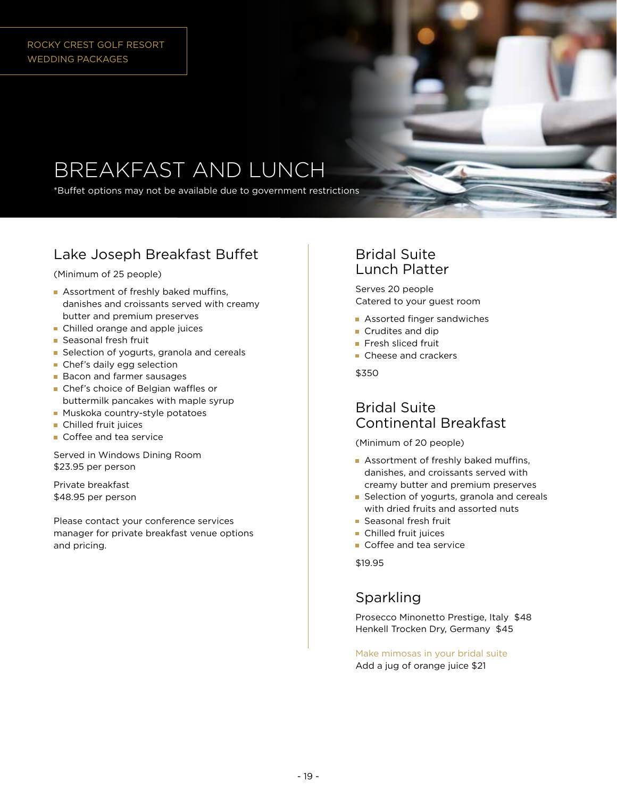#### ROCKY CREST GOLF RESORT WEDDING PACKAGES

# BREAKFAST AND LUNCH

\*Buffet options may not be available due to government restrictions

## Lake Joseph Breakfast Buffet

(Minimum of 25 people)

- Assortment of freshly baked muffins, danishes and croissants served with creamy butter and premium preserves
- **Chilled orange and apple juices**
- **Seasonal fresh fruit**
- Selection of yogurts, granola and cereals
- **Chef's daily egg selection**
- **Bacon and farmer sausages**
- **Chef's choice of Belgian waffles or** buttermilk pancakes with maple syrup
- **Muskoka country-style potatoes**
- **Chilled fruit juices**
- Coffee and tea service

Served in Windows Dining Room \$23.95 per person

Private breakfast \$48.95 per person

Please contact your conference services manager for private breakfast venue options and pricing.

### Bridal Suite Lunch Platter

Serves 20 people Catered to your guest room

- **Assorted finger sandwiches**
- **Crudites and dip**
- Fresh sliced fruit
- Cheese and crackers

\$350

### Bridal Suite Continental Breakfast

(Minimum of 20 people)

- Assortment of freshly baked muffins, danishes, and croissants served with creamy butter and premium preserves
- Selection of yogurts, granola and cereals with dried fruits and assorted nuts
- **Seasonal fresh fruit**
- **Chilled fruit juices**
- Coffee and tea service

\$19.95

### Sparkling

Prosecco Minonetto Prestige, Italy \$48 Henkell Trocken Dry, Germany \$45

Make mimosas in your bridal suite Add a jug of orange juice \$21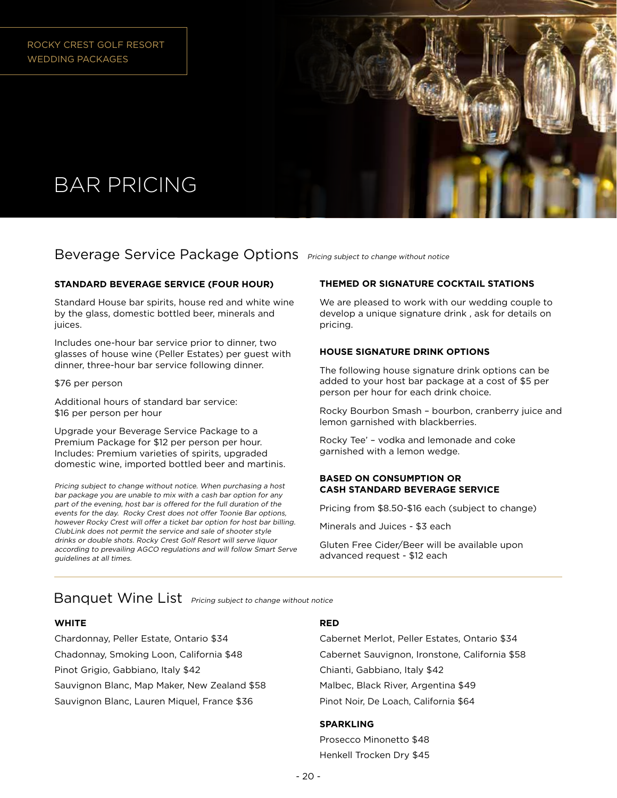

# BAR PRICING

### Beverage Service Package Options *Pricing subject to change without notice*

#### **STANDARD BEVERAGE SERVICE (FOUR HOUR)**

Standard House bar spirits, house red and white wine by the glass, domestic bottled beer, minerals and juices.

Includes one-hour bar service prior to dinner, two glasses of house wine (Peller Estates) per guest with dinner, three-hour bar service following dinner.

#### \$76 per person

Additional hours of standard bar service: \$16 per person per hour

Upgrade your Beverage Service Package to a Premium Package for \$12 per person per hour. Includes: Premium varieties of spirits, upgraded domestic wine, imported bottled beer and martinis.

Pricing subject to change without notice. When purchasing a host bar package you are unable to mix with a cash bar option for any part of the evening, host bar is offered for the full duration of the events for the day. Rocky Crest does not offer Toonie Bar options, however Rocky Crest will offer a ticket bar option for host bar billing. ClubLink does not permit the service and sale of shooter style drinks or double shots. Rocky Crest Golf Resort will serve liquor according to prevailing AGCO regulations and will follow Smart Serve guidelines at all times.

#### **THEMED OR SIGNATURE COCKTAIL STATIONS**

We are pleased to work with our wedding couple to develop a unique signature drink , ask for details on pricing.

#### **HOUSE SIGNATURE DRINK OPTIONS**

The following house signature drink options can be added to your host bar package at a cost of \$5 per person per hour for each drink choice.

Rocky Bourbon Smash – bourbon, cranberry juice and lemon garnished with blackberries.

Rocky Tee' – vodka and lemonade and coke garnished with a lemon wedge.

#### **BASED ON CONSUMPTION OR CASH STANDARD BEVERAGE SERVICE**

Pricing from \$8.50-\$16 each (subject to change)

Minerals and Juices - \$3 each

Gluten Free Cider/Beer will be available upon advanced request - \$12 each

Banquet Wine List **Pricing subject to change without notice** 

#### **WHITE**

Chardonnay, Peller Estate, Ontario \$34 Chadonnay, Smoking Loon, California \$48 Pinot Grigio, Gabbiano, Italy \$42 Sauvignon Blanc, Map Maker, New Zealand \$58 Sauvignon Blanc, Lauren Miquel, France \$36

#### **RED**

Cabernet Merlot, Peller Estates, Ontario \$34 Cabernet Sauvignon, Ironstone, California \$58 Chianti, Gabbiano, Italy \$42 Malbec, Black River, Argentina \$49 Pinot Noir, De Loach, California \$64

#### **SPARKLING**

Prosecco Minonetto \$48 Henkell Trocken Dry \$45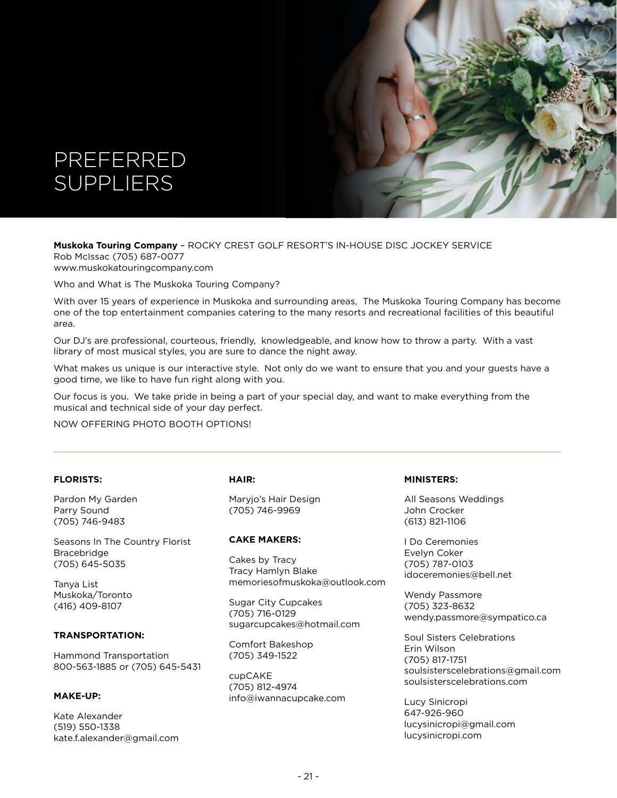



www.muskokatouringcompany.com

Who and What is The Muskoka Touring Company?

With over 15 years of experience in Muskoka and surrounding areas, The Muskoka Touring Company has become one of the top entertainment companies catering to the many resorts and recreational facilities of this beautiful area.

Our DJ's are professional, courteous, friendly, knowledgeable, and know how to throw a party. With a vast library of most musical styles, you are sure to dance the night away.

What makes us unique is our interactive style. Not only do we want to ensure that you and your guests have a good time, we like to have fun right along with you.

Our focus is you. We take pride in being a part of your special day, and want to make everything from the musical and technical side of your day perfect.

NOW OFFERING PHOTO BOOTH OPTIONS!

#### **FLORISTS:**

Pardon My Garden Parry Sound (705) 746-9483

Seasons In The Country Florist Bracebridge (705) 645-5035

Tanya List Muskoka/Toronto (416) 409-8107

#### **TRANSPORTATION:**

Hammond Transportation 800-563-1885 or (705) 645-5431

#### **MAKE-UP:**

Kate Alexander (519) 550-1338 kate.f.alexander@gmail.com

#### **HAIR:**

Maryjo's Hair Design (705) 746-9969

#### **CAKE MAKERS:**

Cakes by Tracy Tracy Hamlyn Blake memoriesofmuskoka@outlook.com

Sugar City Cupcakes (705) 716-0129 sugarcupcakes@hotmail.com

Comfort Bakeshop (705) 349-1522

cupCAKE (705) 812-4974 info@iwannacupcake.com

#### **MINISTERS:**

All Seasons Weddings John Crocker (613) 821-1106

I Do Ceremonies Evelyn Coker (705) 787-0103 idoceremonies@bell.net

Wendy Passmore (705) 323-8632 wendy.passmore@sympatico.ca

Soul Sisters Celebrations Erin Wilson (705) 817-1751 soulsisterscelebrations@gmail.com soulsisterscelebrations.com

Lucy Sinicropi 647-926-960 lucysinicropi@gmail.com lucysinicropi.com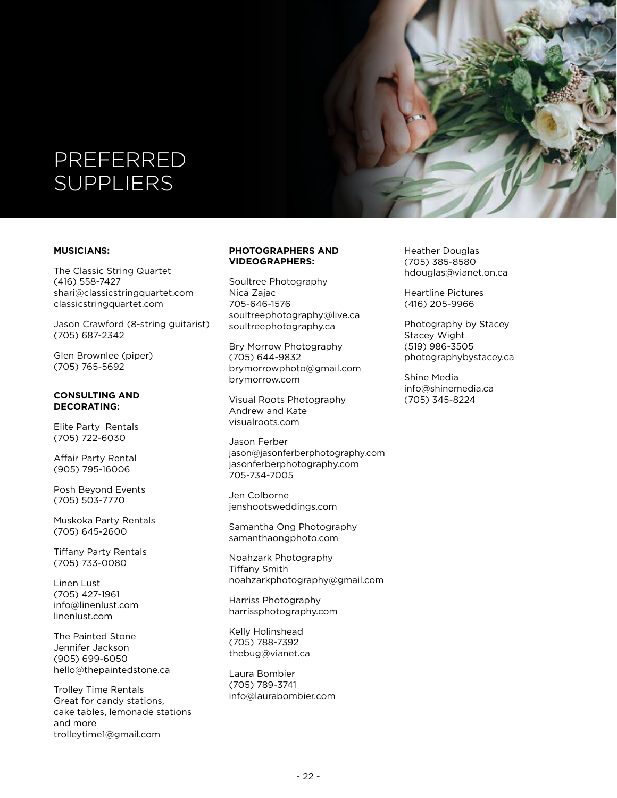# PREFERRED **SUPPLIERS**

#### **MUSICIANS:**

The Classic String Quartet (416) 558-7427 shari@classicstringquartet.com classicstringquartet.com

Jason Crawford (8-string guitarist) (705) 687-2342

Glen Brownlee (piper) (705) 765-5692

#### **CONSULTING AND DECORATING:**

Elite Party Rentals (705) 722-6030

Affair Party Rental (905) 795-16006

Posh Beyond Events (705) 503-7770

Muskoka Party Rentals (705) 645-2600

Tiffany Party Rentals (705) 733-0080

Linen Lust (705) 427-1961 info@linenlust.com linenlust.com

The Painted Stone Jennifer Jackson (905) 699-6050 hello@thepaintedstone.ca

Trolley Time Rentals Great for candy stations, cake tables, lemonade stations and more trolleytime1@gmail.com

#### **PHOTOGRAPHERS AND VIDEOGRAPHERS:**

Soultree Photography Nica Zajac 705-646-1576 soultreephotography@live.ca soultreephotography.ca

Bry Morrow Photography (705) 644-9832 brymorrowphoto@gmail.com brymorrow.com

Visual Roots Photography Andrew and Kate visualroots.com

Jason Ferber jason@jasonferberphotography.com jasonferberphotography.com 705-734-7005

Jen Colborne jenshootsweddings.com

Samantha Ong Photography samanthaongphoto.com

Noahzark Photography Tiffany Smith noahzarkphotography@gmail.com

Harriss Photography harrissphotography.com

Kelly Holinshead (705) 788-7392 thebug@vianet.ca

Laura Bombier (705) 789-3741 info@laurabombier.com Heather Douglas (705) 385-8580 hdouglas@vianet.on.ca

Heartline Pictures (416) 205-9966

Photography by Stacey Stacey Wight (519) 986-3505 photographybystacey.ca

Shine Media info@shinemedia.ca (705) 345-8224